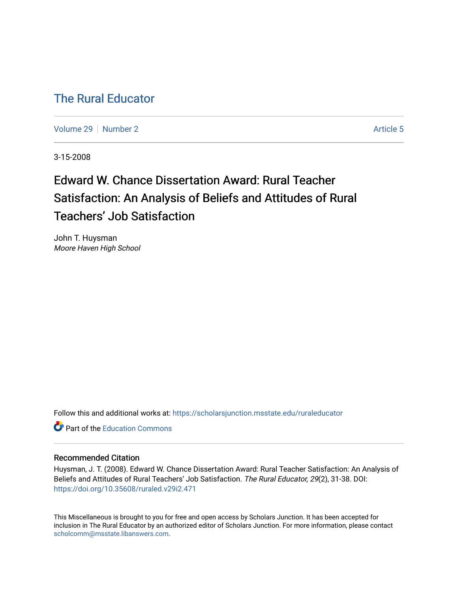# [The Rural Educator](https://scholarsjunction.msstate.edu/ruraleducator)

[Volume 29](https://scholarsjunction.msstate.edu/ruraleducator/vol29) [Number 2](https://scholarsjunction.msstate.edu/ruraleducator/vol29/iss2) Article 5

3-15-2008

# Edward W. Chance Dissertation Award: Rural Teacher Satisfaction: An Analysis of Beliefs and Attitudes of Rural Teachers' Job Satisfaction

John T. Huysman Moore Haven High School

Follow this and additional works at: [https://scholarsjunction.msstate.edu/ruraleducator](https://scholarsjunction.msstate.edu/ruraleducator?utm_source=scholarsjunction.msstate.edu%2Fruraleducator%2Fvol29%2Fiss2%2F5&utm_medium=PDF&utm_campaign=PDFCoverPages)

**C** Part of the [Education Commons](http://network.bepress.com/hgg/discipline/784?utm_source=scholarsjunction.msstate.edu%2Fruraleducator%2Fvol29%2Fiss2%2F5&utm_medium=PDF&utm_campaign=PDFCoverPages)

# Recommended Citation

Huysman, J. T. (2008). Edward W. Chance Dissertation Award: Rural Teacher Satisfaction: An Analysis of Beliefs and Attitudes of Rural Teachers' Job Satisfaction. The Rural Educator, 29(2), 31-38. DOI: <https://doi.org/10.35608/ruraled.v29i2.471>

This Miscellaneous is brought to you for free and open access by Scholars Junction. It has been accepted for inclusion in The Rural Educator by an authorized editor of Scholars Junction. For more information, please contact [scholcomm@msstate.libanswers.com.](mailto:scholcomm@msstate.libanswers.com)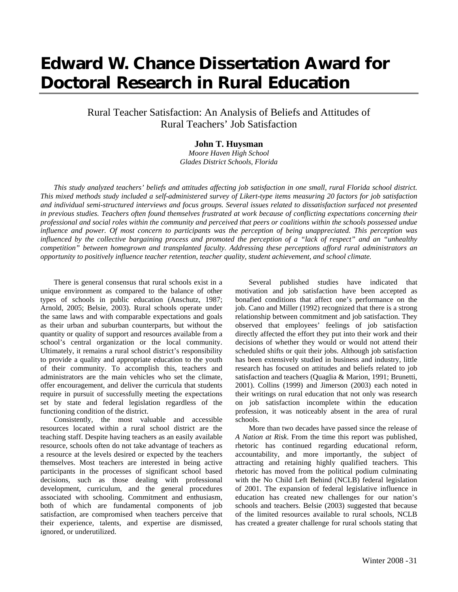# **Edward W. Chance Dissertation Award for Doctoral Research in Rural Education**

Rural Teacher Satisfaction: An Analysis of Beliefs and Attitudes of Rural Teachers' Job Satisfaction

## **John T. Huysman**

*Moore Haven High School Glades District Schools, Florida*

*This study analyzed teachers' beliefs and attitudes affecting job satisfaction in one small, rural Florida school district. This mixed methods study included a self-administered survey of Likert-type items measuring 20 factors for job satisfaction and individual semi-structured interviews and focus groups. Several issues related to dissatisfaction surfaced not presented in previous studies. Teachers often found themselves frustrated at work because of conflicting expectations concerning their professional and social roles within the community and perceived that peers or coalitions within the schools possessed undue influence and power. Of most concern to participants was the perception of being unappreciated. This perception was influenced by the collective bargaining process and promoted the perception of a "lack of respect" and an "unhealthy competition" between homegrown and transplanted faculty. Addressing these perceptions afford rural administrators an opportunity to positively influence teacher retention, teacher quality, student achievement, and school climate.*

There is general consensus that rural schools exist in a unique environment as compared to the balance of other types of schools in public education (Anschutz, 1987; Arnold, 2005; Belsie, 2003). Rural schools operate under the same laws and with comparable expectations and goals as their urban and suburban counterparts, but without the quantity or quality of support and resources available from a school's central organization or the local community. Ultimately, it remains a rural school district's responsibility to provide a quality and appropriate education to the youth of their community. To accomplish this, teachers and administrators are the main vehicles who set the climate, offer encouragement, and deliver the curricula that students require in pursuit of successfully meeting the expectations set by state and federal legislation regardless of the functioning condition of the district.

Consistently, the most valuable and accessible resources located within a rural school district are the teaching staff. Despite having teachers as an easily available resource, schools often do not take advantage of teachers as a resource at the levels desired or expected by the teachers themselves. Most teachers are interested in being active participants in the processes of significant school based decisions, such as those dealing with professional development, curriculum, and the general procedures associated with schooling. Commitment and enthusiasm, both of which are fundamental components of job satisfaction, are compromised when teachers perceive that their experience, talents, and expertise are dismissed, ignored, or underutilized.

Several published studies have indicated that motivation and job satisfaction have been accepted as bonafied conditions that affect one's performance on the job. Cano and Miller (1992) recognized that there is a strong relationship between commitment and job satisfaction. They observed that employees' feelings of job satisfaction directly affected the effort they put into their work and their decisions of whether they would or would not attend their scheduled shifts or quit their jobs. Although job satisfaction has been extensively studied in business and industry, little research has focused on attitudes and beliefs related to job satisfaction and teachers (Quaglia & Marion, 1991; Brunetti, 2001). Collins (1999) and Jimerson (2003) each noted in their writings on rural education that not only was research on job satisfaction incomplete within the education profession, it was noticeably absent in the area of rural schools.

More than two decades have passed since the release of *A Nation at Risk*. From the time this report was published, rhetoric has continued regarding educational reform, accountability, and more importantly, the subject of attracting and retaining highly qualified teachers. This rhetoric has moved from the political podium culminating with the No Child Left Behind (NCLB) federal legislation of 2001. The expansion of federal legislative influence in education has created new challenges for our nation's schools and teachers. Belsie (2003) suggested that because of the limited resources available to rural schools, NCLB has created a greater challenge for rural schools stating that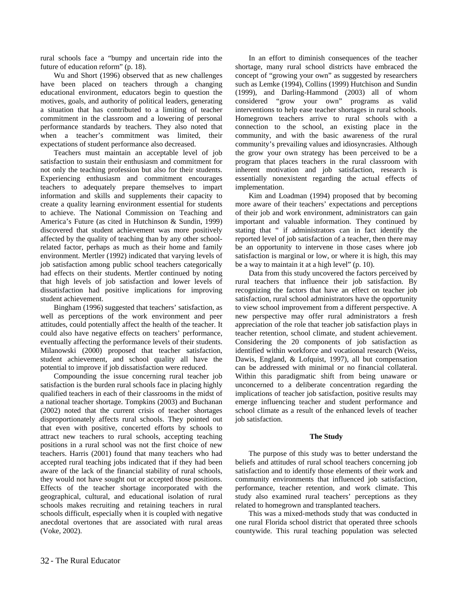rural schools face a "bumpy and uncertain ride into the future of education reform" (p. 18).

Wu and Short (1996) observed that as new challenges have been placed on teachers through a changing educational environment, educators begin to question the motives, goals, and authority of political leaders, generating a situation that has contributed to a limiting of teacher commitment in the classroom and a lowering of personal performance standards by teachers. They also noted that when a teacher's commitment was limited, their expectations of student performance also decreased.

Teachers must maintain an acceptable level of job satisfaction to sustain their enthusiasm and commitment for not only the teaching profession but also for their students. Experiencing enthusiasm and commitment encourages teachers to adequately prepare themselves to impart information and skills and supplements their capacity to create a quality learning environment essential for students to achieve. The National Commission on Teaching and America's Future (as cited in Hutchinson & Sundin, 1999) discovered that student achievement was more positively affected by the quality of teaching than by any other schoolrelated factor, perhaps as much as their home and family environment. Mertler (1992) indicated that varying levels of job satisfaction among public school teachers categorically had effects on their students. Mertler continued by noting that high levels of job satisfaction and lower levels of dissatisfaction had positive implications for improving student achievement.

Bingham (1996) suggested that teachers' satisfaction, as well as perceptions of the work environment and peer attitudes, could potentially affect the health of the teacher. It could also have negative effects on teachers' performance, eventually affecting the performance levels of their students. Milanowski (2000) proposed that teacher satisfaction, student achievement, and school quality all have the potential to improve if job dissatisfaction were reduced.

Compounding the issue concerning rural teacher job satisfaction is the burden rural schools face in placing highly qualified teachers in each of their classrooms in the midst of a national teacher shortage. Tompkins (2003) and Buchanan (2002) noted that the current crisis of teacher shortages disproportionately affects rural schools. They pointed out that even with positive, concerted efforts by schools to attract new teachers to rural schools, accepting teaching positions in a rural school was not the first choice of new teachers. Harris (2001) found that many teachers who had accepted rural teaching jobs indicated that if they had been aware of the lack of the financial stability of rural schools, they would not have sought out or accepted those positions. Effects of the teacher shortage incorporated with the geographical, cultural, and educational isolation of rural schools makes recruiting and retaining teachers in rural schools difficult, especially when it is coupled with negative anecdotal overtones that are associated with rural areas (Voke, 2002).

In an effort to diminish consequences of the teacher shortage, many rural school districts have embraced the concept of "growing your own" as suggested by researchers such as Lemke (1994), Collins (1999) Hutchison and Sundin (1999), and Darling-Hammond (2003) all of whom considered "grow your own" programs as valid interventions to help ease teacher shortages in rural schools. Homegrown teachers arrive to rural schools with a connection to the school, an existing place in the community, and with the basic awareness of the rural community's prevailing values and idiosyncrasies. Although the grow your own strategy has been perceived to be a program that places teachers in the rural classroom with inherent motivation and job satisfaction, research is essentially nonexistent regarding the actual effects of implementation.

Kim and Loadman (1994) proposed that by becoming more aware of their teachers' expectations and perceptions of their job and work environment, administrators can gain important and valuable information. They continued by stating that " if administrators can in fact identify the reported level of job satisfaction of a teacher, then there may be an opportunity to intervene in those cases where job satisfaction is marginal or low, or where it is high, this may be a way to maintain it at a high level" (p. 10).

Data from this study uncovered the factors perceived by rural teachers that influence their job satisfaction. By recognizing the factors that have an effect on teacher job satisfaction, rural school administrators have the opportunity to view school improvement from a different perspective. A new perspective may offer rural administrators a fresh appreciation of the role that teacher job satisfaction plays in teacher retention, school climate, and student achievement. Considering the 20 components of job satisfaction as identified within workforce and vocational research (Weiss, Dawis, England, & Lofquist, 1997), all but compensation can be addressed with minimal or no financial collateral. Within this paradigmatic shift from being unaware or unconcerned to a deliberate concentration regarding the implications of teacher job satisfaction, positive results may emerge influencing teacher and student performance and school climate as a result of the enhanced levels of teacher job satisfaction.

#### **The Study**

The purpose of this study was to better understand the beliefs and attitudes of rural school teachers concerning job satisfaction and to identify those elements of their work and community environments that influenced job satisfaction, performance, teacher retention, and work climate. This study also examined rural teachers' perceptions as they related to homegrown and transplanted teachers.

This was a mixed-methods study that was conducted in one rural Florida school district that operated three schools countywide. This rural teaching population was selected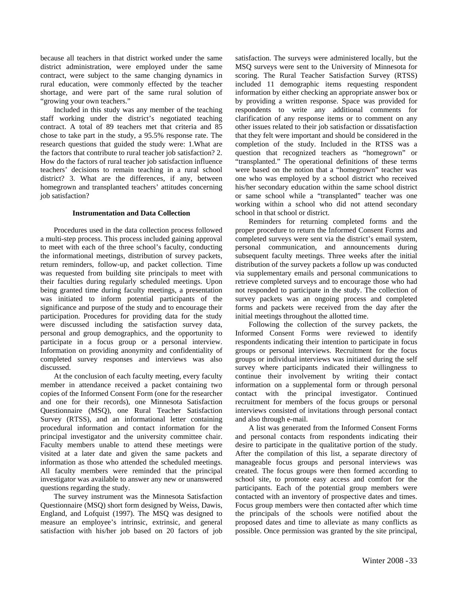because all teachers in that district worked under the same district administration, were employed under the same contract, were subject to the same changing dynamics in rural education, were commonly effected by the teacher shortage, and were part of the same rural solution of "growing your own teachers."

Included in this study was any member of the teaching staff working under the district's negotiated teaching contract. A total of 89 teachers met that criteria and 85 chose to take part in the study, a 95.5% response rate. The research questions that guided the study were: 1.What are the factors that contribute to rural teacher job satisfaction? 2. How do the factors of rural teacher job satisfaction influence teachers' decisions to remain teaching in a rural school district? 3. What are the differences, if any, between homegrown and transplanted teachers' attitudes concerning job satisfaction?

#### **Instrumentation and Data Collection**

Procedures used in the data collection process followed a multi-step process. This process included gaining approval to meet with each of the three school's faculty, conducting the informational meetings, distribution of survey packets, return reminders, follow-up, and packet collection. Time was requested from building site principals to meet with their faculties during regularly scheduled meetings. Upon being granted time during faculty meetings, a presentation was initiated to inform potential participants of the significance and purpose of the study and to encourage their participation. Procedures for providing data for the study were discussed including the satisfaction survey data, personal and group demographics, and the opportunity to participate in a focus group or a personal interview. Information on providing anonymity and confidentiality of completed survey responses and interviews was also discussed.

At the conclusion of each faculty meeting, every faculty member in attendance received a packet containing two copies of the Informed Consent Form (one for the researcher and one for their records), one Minnesota Satisfaction Questionnaire (MSQ), one Rural Teacher Satisfaction Survey (RTSS), and an informational letter containing procedural information and contact information for the principal investigator and the university committee chair. Faculty members unable to attend these meetings were visited at a later date and given the same packets and information as those who attended the scheduled meetings. All faculty members were reminded that the principal investigator was available to answer any new or unanswered questions regarding the study.

The survey instrument was the Minnesota Satisfaction Questionnaire (MSQ) short form designed by Weiss, Dawis, England, and Lofquist (1997). The MSQ was designed to measure an employee's intrinsic, extrinsic, and general satisfaction with his/her job based on 20 factors of job

satisfaction. The surveys were administered locally, but the MSQ surveys were sent to the University of Minnesota for scoring. The Rural Teacher Satisfaction Survey (RTSS) included 11 demographic items requesting respondent information by either checking an appropriate answer box or by providing a written response. Space was provided for respondents to write any additional comments for clarification of any response items or to comment on any other issues related to their job satisfaction or dissatisfaction that they felt were important and should be considered in the completion of the study. Included in the RTSS was a question that recognized teachers as "homegrown" or "transplanted." The operational definitions of these terms were based on the notion that a "homegrown" teacher was one who was employed by a school district who received his/her secondary education within the same school district or same school while a "transplanted" teacher was one working within a school who did not attend secondary school in that school or district.

Reminders for returning completed forms and the proper procedure to return the Informed Consent Forms and completed surveys were sent via the district's email system, personal communication, and announcements during subsequent faculty meetings. Three weeks after the initial distribution of the survey packets a follow up was conducted via supplementary emails and personal communications to retrieve completed surveys and to encourage those who had not responded to participate in the study. The collection of survey packets was an ongoing process and completed forms and packets were received from the day after the initial meetings throughout the allotted time.

Following the collection of the survey packets, the Informed Consent Forms were reviewed to identify respondents indicating their intention to participate in focus groups or personal interviews. Recruitment for the focus groups or individual interviews was initiated during the self survey where participants indicated their willingness to continue their involvement by writing their contact information on a supplemental form or through personal contact with the principal investigator. Continued recruitment for members of the focus groups or personal interviews consisted of invitations through personal contact and also through e-mail.

A list was generated from the Informed Consent Forms and personal contacts from respondents indicating their desire to participate in the qualitative portion of the study. After the compilation of this list, a separate directory of manageable focus groups and personal interviews was created. The focus groups were then formed according to school site, to promote easy access and comfort for the participants. Each of the potential group members were contacted with an inventory of prospective dates and times. Focus group members were then contacted after which time the principals of the schools were notified about the proposed dates and time to alleviate as many conflicts as possible. Once permission was granted by the site principal,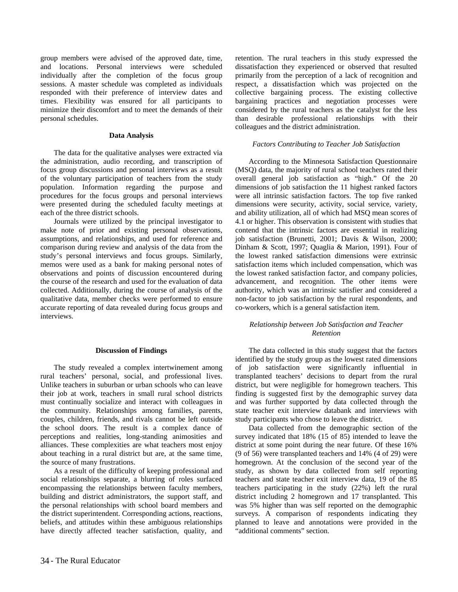group members were advised of the approved date, time, and locations. Personal interviews were scheduled individually after the completion of the focus group sessions. A master schedule was completed as individuals responded with their preference of interview dates and times. Flexibility was ensured for all participants to minimize their discomfort and to meet the demands of their personal schedules.

#### **Data Analysis**

The data for the qualitative analyses were extracted via the administration, audio recording, and transcription of focus group discussions and personal interviews as a result of the voluntary participation of teachers from the study population. Information regarding the purpose and procedures for the focus groups and personal interviews were presented during the scheduled faculty meetings at each of the three district schools.

Journals were utilized by the principal investigator to make note of prior and existing personal observations, assumptions, and relationships, and used for reference and comparison during review and analysis of the data from the study's personal interviews and focus groups. Similarly, memos were used as a bank for making personal notes of observations and points of discussion encountered during the course of the research and used for the evaluation of data collected. Additionally, during the course of analysis of the qualitative data, member checks were performed to ensure accurate reporting of data revealed during focus groups and interviews.

#### **Discussion of Findings**

The study revealed a complex intertwinement among rural teachers' personal, social, and professional lives. Unlike teachers in suburban or urban schools who can leave their job at work, teachers in small rural school districts must continually socialize and interact with colleagues in the community. Relationships among families, parents, couples, children, friends, and rivals cannot be left outside the school doors. The result is a complex dance of perceptions and realities, long-standing animosities and alliances. These complexities are what teachers most enjoy about teaching in a rural district but are, at the same time, the source of many frustrations.

As a result of the difficulty of keeping professional and social relationships separate, a blurring of roles surfaced encompassing the relationships between faculty members, building and district administrators, the support staff, and the personal relationships with school board members and the district superintendent. Corresponding actions, reactions, beliefs, and attitudes within these ambiguous relationships have directly affected teacher satisfaction, quality, and

retention. The rural teachers in this study expressed the dissatisfaction they experienced or observed that resulted primarily from the perception of a lack of recognition and respect, a dissatisfaction which was projected on the collective bargaining process. The existing collective bargaining practices and negotiation processes were considered by the rural teachers as the catalyst for the less than desirable professional relationships with their colleagues and the district administration.

#### *Factors Contributing to Teacher Job Satisfaction*

According to the Minnesota Satisfaction Questionnaire (MSQ) data, the majority of rural school teachers rated their overall general job satisfaction as "high." Of the 20 dimensions of job satisfaction the 11 highest ranked factors were all intrinsic satisfaction factors. The top five ranked dimensions were security, activity, social service, variety, and ability utilization, all of which had MSQ mean scores of 4.1 or higher. This observation is consistent with studies that contend that the intrinsic factors are essential in realizing job satisfaction (Brunetti, 2001; Davis & Wilson, 2000; Dinham & Scott, 1997; Quaglia & Marion, 1991). Four of the lowest ranked satisfaction dimensions were extrinsic satisfaction items which included compensation, which was the lowest ranked satisfaction factor, and company policies, advancement, and recognition. The other items were authority, which was an intrinsic satisfier and considered a non-factor to job satisfaction by the rural respondents, and co-workers, which is a general satisfaction item.

#### *Relationship between Job Satisfaction and Teacher Retention*

The data collected in this study suggest that the factors identified by the study group as the lowest rated dimensions of job satisfaction were significantly influential in transplanted teachers' decisions to depart from the rural district, but were negligible for homegrown teachers. This finding is suggested first by the demographic survey data and was further supported by data collected through the state teacher exit interview databank and interviews with study participants who chose to leave the district.

Data collected from the demographic section of the survey indicated that 18% (15 of 85) intended to leave the district at some point during the near future. Of these 16% (9 of 56) were transplanted teachers and 14% (4 of 29) were homegrown. At the conclusion of the second year of the study, as shown by data collected from self reporting teachers and state teacher exit interview data, 19 of the 85 teachers participating in the study (22%) left the rural district including 2 homegrown and 17 transplanted. This was 5% higher than was self reported on the demographic surveys. A comparison of respondents indicating they planned to leave and annotations were provided in the "additional comments" section.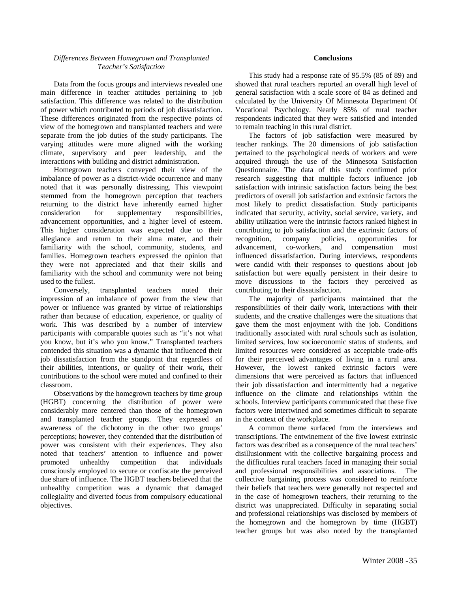### *Differences Between Homegrown and Transplanted Teacher's Satisfaction*

Data from the focus groups and interviews revealed one main difference in teacher attitudes pertaining to job satisfaction. This difference was related to the distribution of power which contributed to periods of job dissatisfaction. These differences originated from the respective points of view of the homegrown and transplanted teachers and were separate from the job duties of the study participants. The varying attitudes were more aligned with the working climate, supervisory and peer leadership, and the interactions with building and district administration.

Homegrown teachers conveyed their view of the imbalance of power as a district-wide occurrence and many noted that it was personally distressing. This viewpoint stemmed from the homegrown perception that teachers returning to the district have inherently earned higher consideration for supplementary responsibilities, advancement opportunities, and a higher level of esteem. This higher consideration was expected due to their allegiance and return to their alma mater, and their familiarity with the school, community, students, and families. Homegrown teachers expressed the opinion that they were not appreciated and that their skills and familiarity with the school and community were not being used to the fullest.

Conversely, transplanted teachers noted their impression of an imbalance of power from the view that power or influence was granted by virtue of relationships rather than because of education, experience, or quality of work. This was described by a number of interview participants with comparable quotes such as "it's not what you know, but it's who you know." Transplanted teachers contended this situation was a dynamic that influenced their job dissatisfaction from the standpoint that regardless of their abilities, intentions, or quality of their work, their contributions to the school were muted and confined to their classroom.

Observations by the homegrown teachers by time group (HGBT) concerning the distribution of power were considerably more centered than those of the homegrown and transplanted teacher groups. They expressed an awareness of the dichotomy in the other two groups' perceptions; however, they contended that the distribution of power was consistent with their experiences. They also noted that teachers' attention to influence and power promoted unhealthy competition that individuals consciously employed to secure or confiscate the perceived due share of influence. The HGBT teachers believed that the unhealthy competition was a dynamic that damaged collegiality and diverted focus from compulsory educational objectives.

### **Conclusions**

This study had a response rate of 95.5% (85 of 89) and showed that rural teachers reported an overall high level of general satisfaction with a scale score of 84 as defined and calculated by the University Of Minnesota Department Of Vocational Psychology. Nearly 85% of rural teacher respondents indicated that they were satisfied and intended to remain teaching in this rural district.

The factors of job satisfaction were measured by teacher rankings. The 20 dimensions of job satisfaction pertained to the psychological needs of workers and were acquired through the use of the Minnesota Satisfaction Questionnaire. The data of this study confirmed prior research suggesting that multiple factors influence job satisfaction with intrinsic satisfaction factors being the best predictors of overall job satisfaction and extrinsic factors the most likely to predict dissatisfaction. Study participants indicated that security, activity, social service, variety, and ability utilization were the intrinsic factors ranked highest in contributing to job satisfaction and the extrinsic factors of recognition, company policies, opportunities for advancement, co-workers, and compensation most influenced dissatisfaction. During interviews, respondents were candid with their responses to questions about job satisfaction but were equally persistent in their desire to move discussions to the factors they perceived as contributing to their dissatisfaction.

The majority of participants maintained that the responsibilities of their daily work, interactions with their students, and the creative challenges were the situations that gave them the most enjoyment with the job. Conditions traditionally associated with rural schools such as isolation, limited services, low socioeconomic status of students, and limited resources were considered as acceptable trade-offs for their perceived advantages of living in a rural area. However, the lowest ranked extrinsic factors were dimensions that were perceived as factors that influenced their job dissatisfaction and intermittently had a negative influence on the climate and relationships within the schools. Interview participants communicated that these five factors were intertwined and sometimes difficult to separate in the context of the workplace.

A common theme surfaced from the interviews and transcriptions. The entwinement of the five lowest extrinsic factors was described as a consequence of the rural teachers' disillusionment with the collective bargaining process and the difficulties rural teachers faced in managing their social and professional responsibilities and associations. The collective bargaining process was considered to reinforce their beliefs that teachers were generally not respected and in the case of homegrown teachers, their returning to the district was unappreciated. Difficulty in separating social and professional relationships was disclosed by members of the homegrown and the homegrown by time (HGBT) teacher groups but was also noted by the transplanted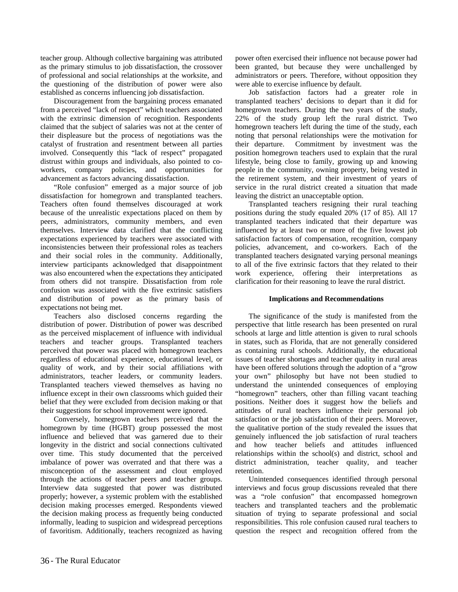teacher group. Although collective bargaining was attributed as the primary stimulus to job dissatisfaction, the crossover of professional and social relationships at the worksite, and the questioning of the distribution of power were also established as concerns influencing job dissatisfaction.

Discouragement from the bargaining process emanated from a perceived "lack of respect" which teachers associated with the extrinsic dimension of recognition. Respondents claimed that the subject of salaries was not at the center of their displeasure but the process of negotiations was the catalyst of frustration and resentment between all parties involved. Consequently this "lack of respect" propagated distrust within groups and individuals, also pointed to coworkers, company policies, and opportunities for advancement as factors advancing dissatisfaction.

"Role confusion" emerged as a major source of job dissatisfaction for homegrown and transplanted teachers. Teachers often found themselves discouraged at work because of the unrealistic expectations placed on them by peers, administrators, community members, and even themselves. Interview data clarified that the conflicting expectations experienced by teachers were associated with inconsistencies between their professional roles as teachers and their social roles in the community. Additionally, interview participants acknowledged that disappointment was also encountered when the expectations they anticipated from others did not transpire. Dissatisfaction from role confusion was associated with the five extrinsic satisfiers and distribution of power as the primary basis of expectations not being met.

Teachers also disclosed concerns regarding the distribution of power. Distribution of power was described as the perceived misplacement of influence with individual teachers and teacher groups. Transplanted teachers perceived that power was placed with homegrown teachers regardless of educational experience, educational level, or quality of work, and by their social affiliations with administrators, teacher leaders, or community leaders. Transplanted teachers viewed themselves as having no influence except in their own classrooms which guided their belief that they were excluded from decision making or that their suggestions for school improvement were ignored.

Conversely, homegrown teachers perceived that the homegrown by time (HGBT) group possessed the most influence and believed that was garnered due to their longevity in the district and social connections cultivated over time. This study documented that the perceived imbalance of power was overrated and that there was a misconception of the assessment and clout employed through the actions of teacher peers and teacher groups. Interview data suggested that power was distributed properly; however, a systemic problem with the established decision making processes emerged. Respondents viewed the decision making process as frequently being conducted informally, leading to suspicion and widespread perceptions of favoritism. Additionally, teachers recognized as having

power often exercised their influence not because power had been granted, but because they were unchallenged by administrators or peers. Therefore, without opposition they were able to exercise influence by default.

Job satisfaction factors had a greater role in transplanted teachers' decisions to depart than it did for homegrown teachers. During the two years of the study, 22% of the study group left the rural district. Two homegrown teachers left during the time of the study, each noting that personal relationships were the motivation for their departure. Commitment by investment was the position homegrown teachers used to explain that the rural lifestyle, being close to family, growing up and knowing people in the community, owning property, being vested in the retirement system, and their investment of years of service in the rural district created a situation that made leaving the district an unacceptable option.

Transplanted teachers resigning their rural teaching positions during the study equaled 20% (17 of 85). All 17 transplanted teachers indicated that their departure was influenced by at least two or more of the five lowest job satisfaction factors of compensation, recognition, company policies, advancement, and co-workers. Each of the transplanted teachers designated varying personal meanings to all of the five extrinsic factors that they related to their work experience, offering their interpretations as clarification for their reasoning to leave the rural district.

# **Implications and Recommendations**

The significance of the study is manifested from the perspective that little research has been presented on rural schools at large and little attention is given to rural schools in states, such as Florida, that are not generally considered as containing rural schools. Additionally, the educational issues of teacher shortages and teacher quality in rural areas have been offered solutions through the adoption of a "grow your own" philosophy but have not been studied to understand the unintended consequences of employing "homegrown" teachers, other than filling vacant teaching positions. Neither does it suggest how the beliefs and attitudes of rural teachers influence their personal job satisfaction or the job satisfaction of their peers. Moreover, the qualitative portion of the study revealed the issues that genuinely influenced the job satisfaction of rural teachers and how teacher beliefs and attitudes influenced relationships within the school(s) and district, school and district administration, teacher quality, and teacher retention.

Unintended consequences identified through personal interviews and focus group discussions revealed that there was a "role confusion" that encompassed homegrown teachers and transplanted teachers and the problematic situation of trying to separate professional and social responsibilities. This role confusion caused rural teachers to question the respect and recognition offered from the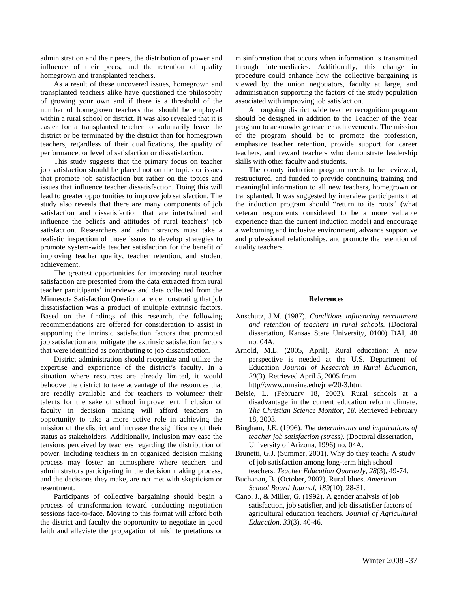administration and their peers, the distribution of power and influence of their peers, and the retention of quality homegrown and transplanted teachers.

As a result of these uncovered issues, homegrown and transplanted teachers alike have questioned the philosophy of growing your own and if there is a threshold of the number of homegrown teachers that should be employed within a rural school or district. It was also revealed that it is easier for a transplanted teacher to voluntarily leave the district or be terminated by the district than for homegrown teachers, regardless of their qualifications, the quality of performance, or level of satisfaction or dissatisfaction.

This study suggests that the primary focus on teacher job satisfaction should be placed not on the topics or issues that promote job satisfaction but rather on the topics and issues that influence teacher dissatisfaction. Doing this will lead to greater opportunities to improve job satisfaction. The study also reveals that there are many components of job satisfaction and dissatisfaction that are intertwined and influence the beliefs and attitudes of rural teachers' job satisfaction. Researchers and administrators must take a realistic inspection of those issues to develop strategies to promote system-wide teacher satisfaction for the benefit of improving teacher quality, teacher retention, and student achievement.

The greatest opportunities for improving rural teacher satisfaction are presented from the data extracted from rural teacher participants' interviews and data collected from the Minnesota Satisfaction Questionnaire demonstrating that job dissatisfaction was a product of multiple extrinsic factors. Based on the findings of this research, the following recommendations are offered for consideration to assist in supporting the intrinsic satisfaction factors that promoted job satisfaction and mitigate the extrinsic satisfaction factors that were identified as contributing to job dissatisfaction.

District administration should recognize and utilize the expertise and experience of the district's faculty. In a situation where resources are already limited, it would behoove the district to take advantage of the resources that are readily available and for teachers to volunteer their talents for the sake of school improvement. Inclusion of faculty in decision making will afford teachers an opportunity to take a more active role in achieving the mission of the district and increase the significance of their status as stakeholders. Additionally, inclusion may ease the tensions perceived by teachers regarding the distribution of power. Including teachers in an organized decision making process may foster an atmosphere where teachers and administrators participating in the decision making process, and the decisions they make, are not met with skepticism or resentment.

Participants of collective bargaining should begin a process of transformation toward conducting negotiation sessions face-to-face. Moving to this format will afford both the district and faculty the opportunity to negotiate in good faith and alleviate the propagation of misinterpretations or misinformation that occurs when information is transmitted through intermediaries. Additionally, this change in procedure could enhance how the collective bargaining is viewed by the union negotiators, faculty at large, and administration supporting the factors of the study population associated with improving job satisfaction.

An ongoing district wide teacher recognition program should be designed in addition to the Teacher of the Year program to acknowledge teacher achievements. The mission of the program should be to promote the profession, emphasize teacher retention, provide support for career teachers, and reward teachers who demonstrate leadership skills with other faculty and students.

The county induction program needs to be reviewed, restructured, and funded to provide continuing training and meaningful information to all new teachers, homegrown or transplanted. It was suggested by interview participants that the induction program should "return to its roots" (what veteran respondents considered to be a more valuable experience than the current induction model) and encourage a welcoming and inclusive environment, advance supportive and professional relationships, and promote the retention of quality teachers.

#### **References**

- Anschutz, J.M. (1987). *Conditions influencing recruitment and retention of teachers in rural schools.* (Doctoral dissertation, Kansas State University, 0100) DAI, 48 no. 04A.
- Arnold, M.L. (2005, April). Rural education: A new perspective is needed at the U.S. Department of Education *Journal of Research in Rural Education, 20*(3). Retrieved April 5, 2005 from http//:www.umaine.edu/jrre/20-3.htm.
- Belsie, L. (February 18, 2003). Rural schools at a disadvantage in the current education reform climate. *The Christian Science Monitor, 18*. Retrieved February 18, 2003.
- Bingham, J.E. (1996). *The determinants and implications of teacher job satisfaction (stress)*. (Doctoral dissertation, University of Arizona, 1996) no. 04A.
- Brunetti, G.J. (Summer, 2001). Why do they teach? A study of job satisfaction among long-term high school teachers. *Teacher Education Quarterly, 28*(3), 49-74.
- Buchanan, B. (October, 2002). Rural blues. *American School Board Journal, 189*(10), 28-31.
- Cano, J., & Miller, G. (1992). A gender analysis of job satisfaction, job satisfier, and job dissatisfier factors of agricultural education teachers. *Journal of Agricultural Education, 33*(3), 40-46.